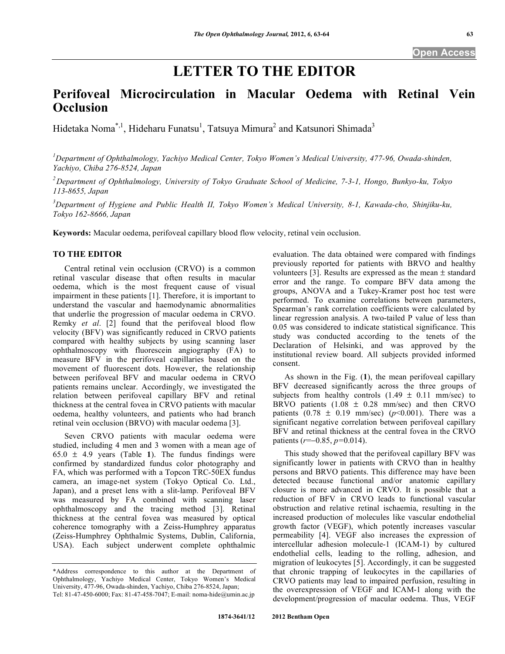# **LETTER TO THE EDITOR**

## **Perifoveal Microcirculation in Macular Oedema with Retinal Vein Occlusion**

Hidetaka Noma<sup>\*, 1</sup>, Hideharu Funatsu<sup>1</sup>, Tatsuya Mimura<sup>2</sup> and Katsunori Shimada<sup>3</sup>

<sup>1</sup>Department of Ophthalmology, Yachiyo Medical Center, Tokyo Women's Medical University, 477-96, Owada-shinden, *Yachiyo, Chiba 276-8524, Japan* 

*2 Department of Ophthalmology, University of Tokyo Graduate School of Medicine, 7-3-1, Hongo, Bunkyo-ku, Tokyo 113-8655, Japan* 

*3 Department of Hygiene and Public Health II, Tokyo Women's Medical University, 8-1, Kawada-cho, Shinjiku-ku, Tokyo 162-8666, Japan* 

**Keywords:** Macular oedema, perifoveal capillary blood flow velocity, retinal vein occlusion.

### **TO THE EDITOR**

 Central retinal vein occlusion (CRVO) is a common retinal vascular disease that often results in macular oedema, which is the most frequent cause of visual impairment in these patients [1]. Therefore, it is important to understand the vascular and haemodynamic abnormalities that underlie the progression of macular oedema in CRVO. Remky *et al*. [2] found that the perifoveal blood flow velocity (BFV) was significantly reduced in CRVO patients compared with healthy subjects by using scanning laser ophthalmoscopy with fluorescein angiography (FA) to measure BFV in the perifoveal capillaries based on the movement of fluorescent dots. However, the relationship between perifoveal BFV and macular oedema in CRVO patients remains unclear. Accordingly, we investigated the relation between perifoveal capillary BFV and retinal thickness at the central fovea in CRVO patients with macular oedema, healthy volunteers, and patients who had branch retinal vein occlusion (BRVO) with macular oedema [3].

 Seven CRVO patients with macular oedema were studied, including 4 men and 3 women with a mean age of 65.0 ± 4.9 years (Table **1**). The fundus findings were confirmed by standardized fundus color photography and FA, which was performed with a Topcon TRC-50EX fundus camera, an image-net system (Tokyo Optical Co. Ltd., Japan), and a preset lens with a slit-lamp. Perifoveal BFV was measured by FA combined with scanning laser ophthalmoscopy and the tracing method [3]. Retinal thickness at the central fovea was measured by optical coherence tomography with a Zeiss-Humphrey apparatus (Zeiss-Humphrey Ophthalmic Systems, Dublin, California, USA). Each subject underwent complete ophthalmic

evaluation. The data obtained were compared with findings previously reported for patients with BRVO and healthy volunteers [3]. Results are expressed as the mean ± standard error and the range. To compare BFV data among the groups, ANOVA and a Tukey-Kramer post hoc test were performed. To examine correlations between parameters, Spearman's rank correlation coefficients were calculated by linear regression analysis. A two-tailed P value of less than 0.05 was considered to indicate statistical significance. This study was conducted according to the tenets of the Declaration of Helsinki, and was approved by the institutional review board. All subjects provided informed consent.

 As shown in the Fig. (**1**), the mean perifoveal capillary BFV decreased significantly across the three groups of subjects from healthy controls  $(1.49 \pm 0.11 \text{ mm/sec})$  to BRVO patients  $(1.08 \pm 0.28 \text{ mm/sec})$  and then CRVO patients  $(0.78 \pm 0.19 \text{ mm/sec})$  ( $p<0.001$ ). There was a significant negative correlation between perifoveal capillary BFV and retinal thickness at the central fovea in the CRVO patients (*r*=0.85, *p=*0.014).

 This study showed that the perifoveal capillary BFV was significantly lower in patients with CRVO than in healthy persons and BRVO patients. This difference may have been detected because functional and/or anatomic capillary closure is more advanced in CRVO. It is possible that a reduction of BFV in CRVO leads to functional vascular obstruction and relative retinal ischaemia, resulting in the increased production of molecules like vascular endothelial growth factor (VEGF), which potently increases vascular permeability [4]. VEGF also increases the expression of intercellular adhesion molecule-1 (ICAM-1) by cultured endothelial cells, leading to the rolling, adhesion, and migration of leukocytes [5]. Accordingly, it can be suggested that chronic trapping of leukocytes in the capillaries of CRVO patients may lead to impaired perfusion, resulting in the overexpression of VEGF and ICAM-1 along with the development/progression of macular oedema. Thus, VEGF

<sup>\*</sup>Address correspondence to this author at the Department of Ophthalmology, Yachiyo Medical Center, Tokyo Women's Medical University, 477-96, Owada-shinden, Yachiyo, Chiba 276-8524, Japan; Tel: 81-47-450-6000; Fax: 81-47-458-7047; E-mail: noma-hide@umin.ac.jp